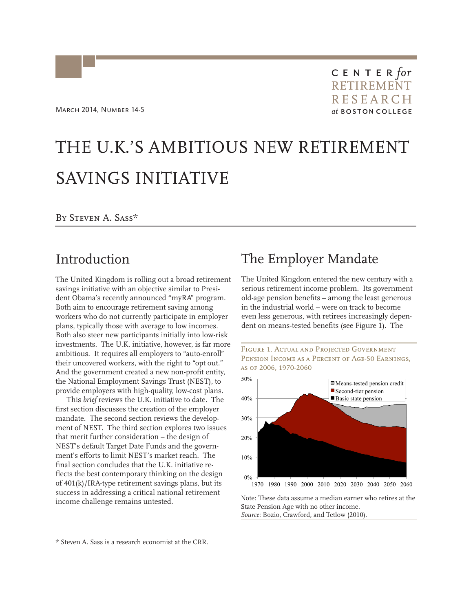CENTER $for$ RETIREMENT RESEARCH<br>at boston college

# THE U.K.'S AMBITIOUS NEW RETIREMENT SAVINGS INITIATIVE

### By Steven A. Sass\*

## Introduction

The United Kingdom is rolling out a broad retirement savings initiative with an objective similar to President Obama's recently announced "myRA" program. Both aim to encourage retirement saving among workers who do not currently participate in employer plans, typically those with average to low incomes. Both also steer new participants initially into low-risk investments. The U.K. initiative, however, is far more ambitious. It requires all employers to "auto-enroll" their uncovered workers, with the right to "opt out." And the government created a new non-profit entity, the National Employment Savings Trust (NEST), to provide employers with high-quality, low-cost plans.

This *brief* reviews the U.K. initiative to date. The first section discusses the creation of the employer mandate. The second section reviews the development of NEST. The third section explores two issues that merit further consideration – the design of NEST's default Target Date Funds and the government's efforts to limit NEST's market reach. The final section concludes that the U.K. initiative reflects the best contemporary thinking on the design of 401(k)/IRA-type retirement savings plans, but its success in addressing a critical national retirement income challenge remains untested.

# The Employer Mandate

The United Kingdom entered the new century with a serious retirement income problem. Its government old-age pension benefits – among the least generous in the industrial world – were on track to become even less generous, with retirees increasingly dependent on means-tested benefits (see Figure 1). The





Note: These data assume a median earner who retires at the State Pension Age with no other income. *Source*: Bozio, Crawford, and Tetlow (2010).

\* Steven A. Sass is a research economist at the CRR.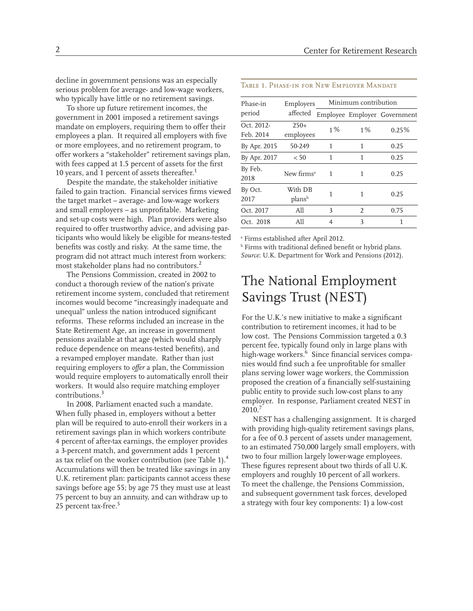decline in government pensions was an especially serious problem for average- and low-wage workers, who typically have little or no retirement savings.

To shore up future retirement incomes, the government in 2001 imposed a retirement savings mandate on employers, requiring them to offer their employees a plan. It required all employers with five or more employees, and no retirement program, to offer workers a "stakeholder" retirement savings plan, with fees capped at 1.5 percent of assets for the first 10 years, and 1 percent of assets thereafter.<sup>1</sup>

Despite the mandate, the stakeholder initiative failed to gain traction. Financial services firms viewed the target market – average- and low-wage workers and small employers – as unprofitable. Marketing and set-up costs were high. Plan providers were also required to offer trustworthy advice, and advising participants who would likely be eligible for means-tested benefits was costly and risky. At the same time, the program did not attract much interest from workers: most stakeholder plans had no contributors.2

The Pensions Commission, created in 2002 to conduct a thorough review of the nation's private retirement income system, concluded that retirement incomes would become "increasingly inadequate and unequal" unless the nation introduced significant reforms. These reforms included an increase in the State Retirement Age, an increase in government pensions available at that age (which would sharply reduce dependence on means-tested benefits), and a revamped employer mandate. Rather than just requiring employers to *offer* a plan, the Commission would require employers to automatically enroll their workers. It would also require matching employer contributions.3

In 2008, Parliament enacted such a mandate. When fully phased in, employers without a better plan will be required to auto-enroll their workers in a retirement savings plan in which workers contribute 4 percent of after-tax earnings, the employer provides a 3-percent match, and government adds 1 percent as tax relief on the worker contribution (see Table 1).<sup>4</sup> Accumulations will then be treated like savings in any U.K. retirement plan: participants cannot access these savings before age 55; by age 75 they must use at least 75 percent to buy an annuity, and can withdraw up to 25 percent tax-free.<sup>5</sup>

#### Table 1. Phase-in for New Employer Mandate

| Phase-in<br>period      | Employers<br>affected         | Minimum contribution |                |                              |
|-------------------------|-------------------------------|----------------------|----------------|------------------------------|
|                         |                               |                      |                | Employee Employer Government |
| Oct. 2012-<br>Feb. 2014 | $250+$<br>employees           | 1%                   | 1%             | 0.25%                        |
| By Apr. 2015            | 50-249                        | 1                    | 1              | 0.25                         |
| By Apr. 2017            | < 50                          | 1                    | 1              | 0.25                         |
| By Feb.<br>2018         | New firms <sup>a</sup>        | 1                    | 1              | 0.25                         |
| By Oct.<br>2017         | With DB<br>plans <sup>b</sup> | 1                    | 1              | 0.25                         |
| Oct. 2017               | A11                           | 3                    | $\mathfrak{D}$ | 0.75                         |
| Oct. 2018               | A11                           | 4                    | 3              | 1                            |

a Firms established after April 2012.

b Firms with traditional defined benefit or hybrid plans. *Source*: U.K. Department for Work and Pensions (2012).

# The National Employment Savings Trust (NEST)

For the U.K.'s new initiative to make a significant contribution to retirement incomes, it had to be low cost. The Pensions Commission targeted a 0.3 percent fee, typically found only in large plans with high-wage workers.<sup>6</sup> Since financial services companies would find such a fee unprofitable for smaller plans serving lower wage workers, the Commission proposed the creation of a financially self-sustaining public entity to provide such low-cost plans to any employer. In response, Parliament created NEST in 2010.7

NEST has a challenging assignment. It is charged with providing high-quality retirement savings plans, for a fee of 0.3 percent of assets under management, to an estimated 750,000 largely small employers, with two to four million largely lower-wage employees. These figures represent about two thirds of all U.K. employers and roughly 10 percent of all workers. To meet the challenge, the Pensions Commission, and subsequent government task forces, developed a strategy with four key components: 1) a low-cost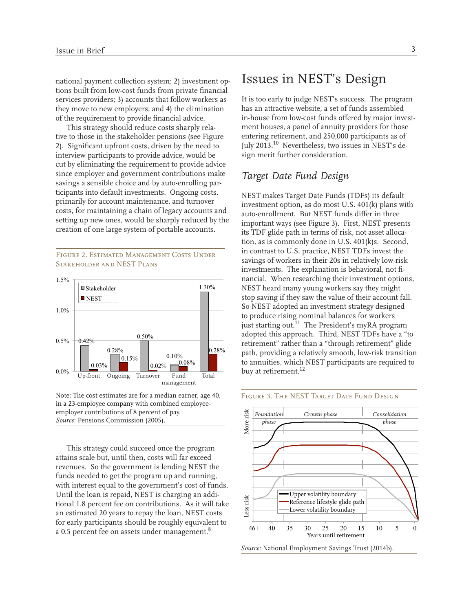national payment collection system; 2) investment options built from low-cost funds from private financial services providers; 3) accounts that follow workers as they move to new employers; and 4) the elimination of the requirement to provide financial advice.

This strategy should reduce costs sharply relative to those in the stakeholder pensions (see Figure 2). Significant upfront costs, driven by the need to interview participants to provide advice, would be cut by eliminating the requirement to provide advice since employer and government contributions make savings a sensible choice and by auto-enrolling participants into default investments. Ongoing costs, primarily for account maintenance, and turnover costs, for maintaining a chain of legacy accounts and setting up new ones, would be sharply reduced by the creation of one large system of portable accounts.

#### FIGURE 2. ESTIMATED MANAGEMENT COSTS UNDER Stakeholder and NEST Plans



Note: The cost estimates are for a median earner, age 40, in a 23-employee company with combined employeeemployer contributions of 8 percent of pay. *Source*: Pensions Commission (2005).

This strategy could succeed once the program attains scale but, until then, costs will far exceed revenues. So the government is lending NEST the funds needed to get the program up and running, with interest equal to the government's cost of funds. Until the loan is repaid, NEST is charging an additional 1.8 percent fee on contributions. As it will take an estimated 20 years to repay the loan, NEST costs for early participants should be roughly equivalent to a 0.5 percent fee on assets under management.<sup>8</sup>

### Issues in NEST's Design

It is too early to judge NEST's success. The program has an attractive website, a set of funds assembled in-house from low-cost funds offered by major investment houses, a panel of annuity providers for those entering retirement, and 250,000 participants as of July 2013.10 Nevertheless, two issues in NEST's design merit further consideration.

### *Target Date Fund Design*

NEST makes Target Date Funds (TDFs) its default investment option, as do most U.S. 401(k) plans with auto-enrollment. But NEST funds differ in three important ways (see Figure 3). First, NEST presents its TDF glide path in terms of risk, not asset allocation, as is commonly done in U.S. 401(k)s. Second, in contrast to U.S. practice, NEST TDFs invest the savings of workers in their 20s in relatively low-risk investments. The explanation is behavioral, not financial. When researching their investment options, NEST heard many young workers say they might stop saving if they saw the value of their account fall. So NEST adopted an investment strategy designed to produce rising nominal balances for workers just starting out.<sup>11</sup> The President's myRA program adopted this approach. Third, NEST TDFs have a "to retirement" rather than a "through retirement" glide path, providing a relatively smooth, low-risk transition to annuities, which NEST participants are required to buy at retirement.<sup>12</sup>

#### FIGURE 3. THE NEST TARGET DATE FUND DESIGN



*Source:* National Employment Savings Trust (2014b).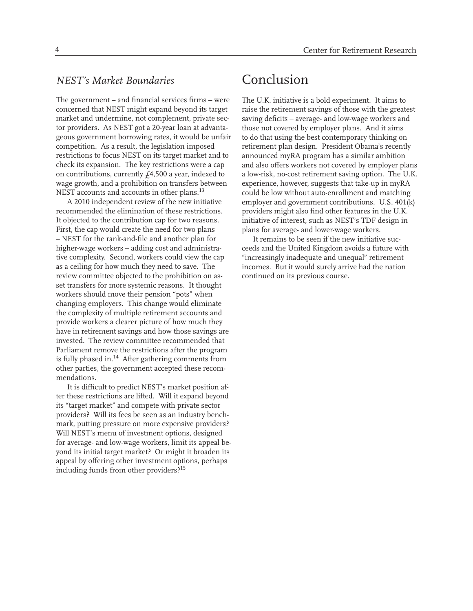### *NEST's Market Boundaries*

The government – and financial services firms – were concerned that NEST might expand beyond its target market and undermine, not complement, private sector providers. As NEST got a 20-year loan at advantageous government borrowing rates, it would be unfair competition. As a result, the legislation imposed restrictions to focus NEST on its target market and to check its expansion. The key restrictions were a cap on contributions, currently  $f_4$ , 500 a year, indexed to wage growth, and a prohibition on transfers between NEST accounts and accounts in other plans.<sup>13</sup>

A 2010 independent review of the new initiative recommended the elimination of these restrictions. It objected to the contribution cap for two reasons. First, the cap would create the need for two plans – NEST for the rank-and-file and another plan for higher-wage workers – adding cost and administrative complexity. Second, workers could view the cap as a ceiling for how much they need to save. The review committee objected to the prohibition on asset transfers for more systemic reasons. It thought workers should move their pension "pots" when changing employers. This change would eliminate the complexity of multiple retirement accounts and provide workers a clearer picture of how much they have in retirement savings and how those savings are invested. The review committee recommended that Parliament remove the restrictions after the program is fully phased in.<sup>14</sup> After gathering comments from other parties, the government accepted these recommendations.

It is difficult to predict NEST's market position after these restrictions are lifted. Will it expand beyond its "target market" and compete with private sector providers? Will its fees be seen as an industry benchmark, putting pressure on more expensive providers? Will NEST's menu of investment options, designed for average- and low-wage workers, limit its appeal beyond its initial target market? Or might it broaden its appeal by offering other investment options, perhaps including funds from other providers?15

# Conclusion

The U.K. initiative is a bold experiment. It aims to raise the retirement savings of those with the greatest saving deficits – average- and low-wage workers and those not covered by employer plans. And it aims to do that using the best contemporary thinking on retirement plan design. President Obama's recently announced myRA program has a similar ambition and also offers workers not covered by employer plans a low-risk, no-cost retirement saving option. The U.K. experience, however, suggests that take-up in myRA could be low without auto-enrollment and matching employer and government contributions. U.S. 401(k) providers might also find other features in the U.K. initiative of interest, such as NEST's TDF design in plans for average- and lower-wage workers.

It remains to be seen if the new initiative succeeds and the United Kingdom avoids a future with "increasingly inadequate and unequal" retirement incomes. But it would surely arrive had the nation continued on its previous course.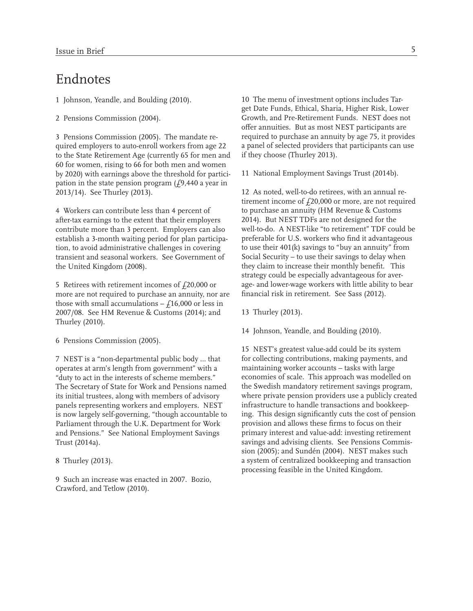## Endnotes

1 Johnson, Yeandle, and Boulding (2010).

2 Pensions Commission (2004).

3 Pensions Commission (2005). The mandate required employers to auto-enroll workers from age 22 to the State Retirement Age (currently 65 for men and 60 for women, rising to 66 for both men and women by 2020) with earnings above the threshold for participation in the state pension program  $(f9,440)$  a year in 2013/14). See Thurley (2013).

4 Workers can contribute less than 4 percent of after-tax earnings to the extent that their employers contribute more than 3 percent. Employers can also establish a 3-month waiting period for plan participation, to avoid administrative challenges in covering transient and seasonal workers. See Government of the United Kingdom (2008).

5 Retirees with retirement incomes of  $f$ 20,000 or more are not required to purchase an annuity, nor are those with small accumulations  $- f16,000$  or less in 2007/08. See HM Revenue & Customs (2014); and Thurley (2010).

6 Pensions Commission (2005).

7 NEST is a "non-departmental public body … that operates at arm's length from government" with a "duty to act in the interests of scheme members." The Secretary of State for Work and Pensions named its initial trustees, along with members of advisory panels representing workers and employers. NEST is now largely self-governing, "though accountable to Parliament through the U.K. Department for Work and Pensions." See National Employment Savings Trust (2014a).

8 Thurley (2013).

9 Such an increase was enacted in 2007. Bozio, Crawford, and Tetlow (2010).

10 The menu of investment options includes Target Date Funds, Ethical, Sharia, Higher Risk, Lower Growth, and Pre-Retirement Funds. NEST does not offer annuities. But as most NEST participants are required to purchase an annuity by age 75, it provides a panel of selected providers that participants can use if they choose (Thurley 2013).

11 National Employment Savings Trust (2014b).

12 As noted, well-to-do retirees, with an annual retirement income of  $f$ 20,000 or more, are not required to purchase an annuity (HM Revenue & Customs 2014). But NEST TDFs are not designed for the well-to-do. A NEST-like "to retirement" TDF could be preferable for U.S. workers who find it advantageous to use their 401(k) savings to "buy an annuity" from Social Security – to use their savings to delay when they claim to increase their monthly benefit. This strategy could be especially advantageous for average- and lower-wage workers with little ability to bear financial risk in retirement. See Sass (2012).

13 Thurley (2013).

14 Johnson, Yeandle, and Boulding (2010).

15 NEST's greatest value-add could be its system for collecting contributions, making payments, and maintaining worker accounts – tasks with large economies of scale. This approach was modelled on the Swedish mandatory retirement savings program, where private pension providers use a publicly created infrastructure to handle transactions and bookkeeping. This design significantly cuts the cost of pension provision and allows these firms to focus on their primary interest and value-add: investing retirement savings and advising clients. See Pensions Commission (2005); and Sundén (2004). NEST makes such a system of centralized bookkeeping and transaction processing feasible in the United Kingdom.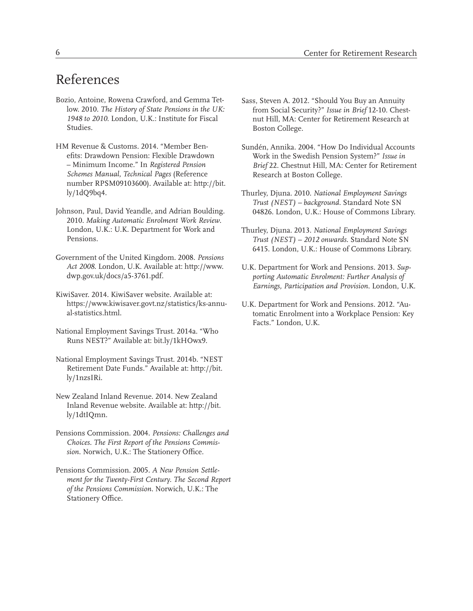# References

- Bozio, Antoine, Rowena Crawford, and Gemma Tetlow. 2010. *The History of State Pensions in the UK: 1948 to 2010*. London, U.K.: Institute for Fiscal Studies.
- HM Revenue & Customs. 2014. "Member Benefits: Drawdown Pension: Flexible Drawdown – Minimum Income." In *Registered Pension Schemes Manual, Technical Pages* (Reference number RPSM09103600). Available at: http://bit. ly/1dQ9bq4.
- Johnson, Paul, David Yeandle, and Adrian Boulding. 2010. *Making Automatic Enrolment Work Review*. London, U.K.: U.K. Department for Work and Pensions.
- Government of the United Kingdom. 2008. *Pensions Act 2008*. London, U.K. Available at: http://www. dwp.gov.uk/docs/a5-3761.pdf.
- KiwiSaver. 2014. KiwiSaver website. Available at: https://www.kiwisaver.govt.nz/statistics/ks-annual-statistics.html.
- National Employment Savings Trust. 2014a. "Who Runs NEST?" Available at: bit.ly/1kHOwx9.
- National Employment Savings Trust. 2014b. "NEST Retirement Date Funds." Available at: http://bit. ly/1nzsIRi.
- New Zealand Inland Revenue. 2014. New Zealand Inland Revenue website. Available at: http://bit. ly/1dtIQmn.
- Pensions Commission. 2004. *Pensions: Challenges and Choices. The First Report of the Pensions Commission*. Norwich, U.K.: The Stationery Office.
- Pensions Commission. 2005. *A New Pension Settlement for the Twenty-First Century. The Second Report of the Pensions Commission*. Norwich, U.K.: The Stationery Office.
- Sass, Steven A. 2012. "Should You Buy an Annuity from Social Security?" *Issue in Brief* 12-10. Chestnut Hill, MA: Center for Retirement Research at Boston College.
- Sundén, Annika. 2004. "How Do Individual Accounts Work in the Swedish Pension System?" *Issue in Brief* 22. Chestnut Hill, MA: Center for Retirement Research at Boston College.
- Thurley, Djuna. 2010. *National Employment Savings Trust (NEST) – background.* Standard Note SN 04826. London, U.K.: House of Commons Library.
- Thurley, Djuna. 2013. *National Employment Savings Trust (NEST) – 2012 onwards*. Standard Note SN 6415. London, U.K.: House of Commons Library.
- U.K. Department for Work and Pensions. 2013. *Supporting Automatic Enrolment: Further Analysis of Earnings, Participation and Provision*. London, U.K.
- U.K. Department for Work and Pensions. 2012. "Automatic Enrolment into a Workplace Pension: Key Facts." London, U.K.